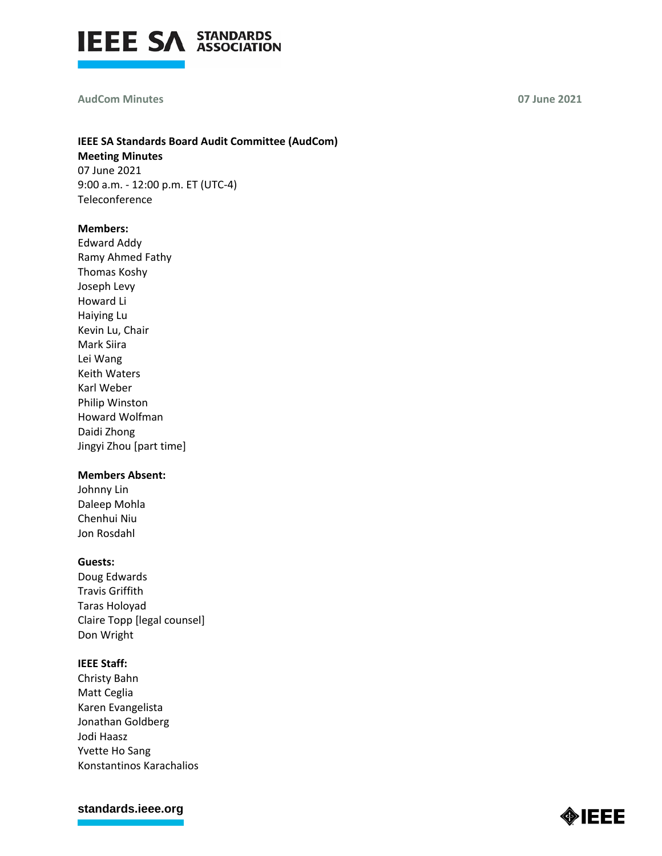

#### **AudCom Minutes 07 June 2021**

# **IEEE SA Standards Board Audit Committee (AudCom) Meeting Minutes**

07 June 2021 9:00 a.m. - 12:00 p.m. ET (UTC-4) Teleconference

## **Members:**

Edward Addy Ramy Ahmed Fathy Thomas Koshy Joseph Levy Howard Li Haiying Lu Kevin Lu, Chair Mark Siira Lei Wang Keith Waters Karl Weber Philip Winston Howard Wolfman Daidi Zhong Jingyi Zhou [part time]

# **Members Absent:**

Johnny Lin Daleep Mohla Chenhui Niu Jon Rosdahl

## **Guests:**

Doug Edwards Travis Griffith Taras Holoyad Claire Topp [legal counsel] Don Wright

## **IEEE Staff:**

Christy Bahn Matt Ceglia Karen Evangelista Jonathan Goldberg Jodi Haasz Yvette Ho Sang Konstantinos Karachalios

**[standards.ieee.org](http://standards.ieee.org/)**

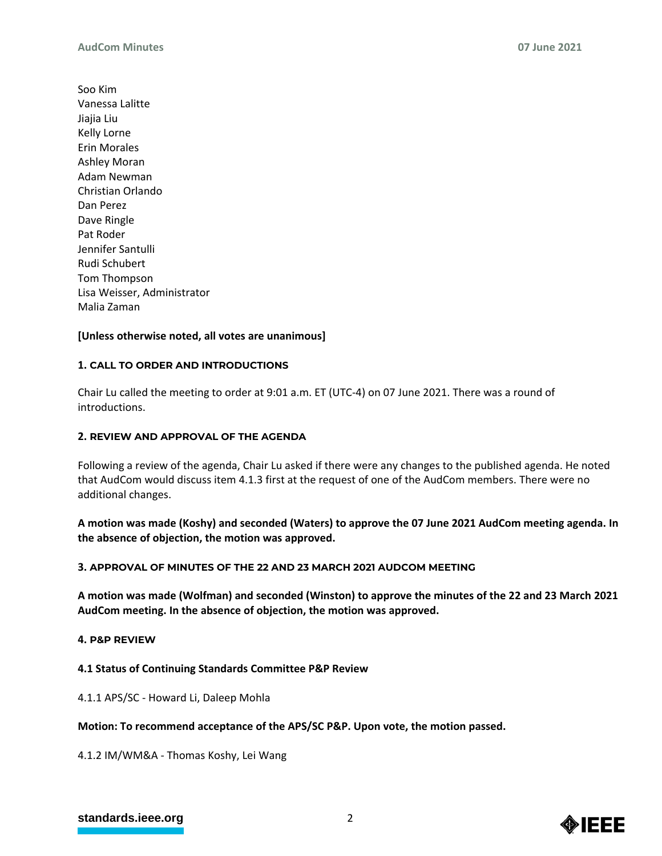Soo Kim Vanessa Lalitte Jiajia Liu Kelly Lorne Erin Morales Ashley Moran Adam Newman Christian Orlando Dan Perez Dave Ringle Pat Roder Jennifer Santulli Rudi Schubert Tom Thompson Lisa Weisser, Administrator Malia Zaman

# **[Unless otherwise noted, all votes are unanimous]**

## **1. CALL TO ORDER AND INTRODUCTIONS**

Chair Lu called the meeting to order at 9:01 a.m. ET (UTC-4) on 07 June 2021. There was a round of introductions.

## **2. REVIEW AND APPROVAL OF THE AGENDA**

Following a review of the agenda, Chair Lu asked if there were any changes to the published agenda. He noted that AudCom would discuss item 4.1.3 first at the request of one of the AudCom members. There were no additional changes.

**A motion was made (Koshy) and seconded (Waters) to approve the 07 June 2021 AudCom meeting agenda. In the absence of objection, the motion was approved.**

## **3. APPROVAL OF MINUTES OF THE 22 AND 23 MARCH 2021 AUDCOM MEETING**

**A motion was made (Wolfman) and seconded (Winston) to approve the minutes of the 22 and 23 March 2021 AudCom meeting. In the absence of objection, the motion was approved.**

## **4. P&P REVIEW**

# **4.1 Status of Continuing Standards Committee P&P Review**

4.1.1 APS/SC - Howard Li, Daleep Mohla

## **Motion: To recommend acceptance of the APS/SC P&P. Upon vote, the motion passed.**

4.1.2 IM/WM&A - Thomas Koshy, Lei Wang

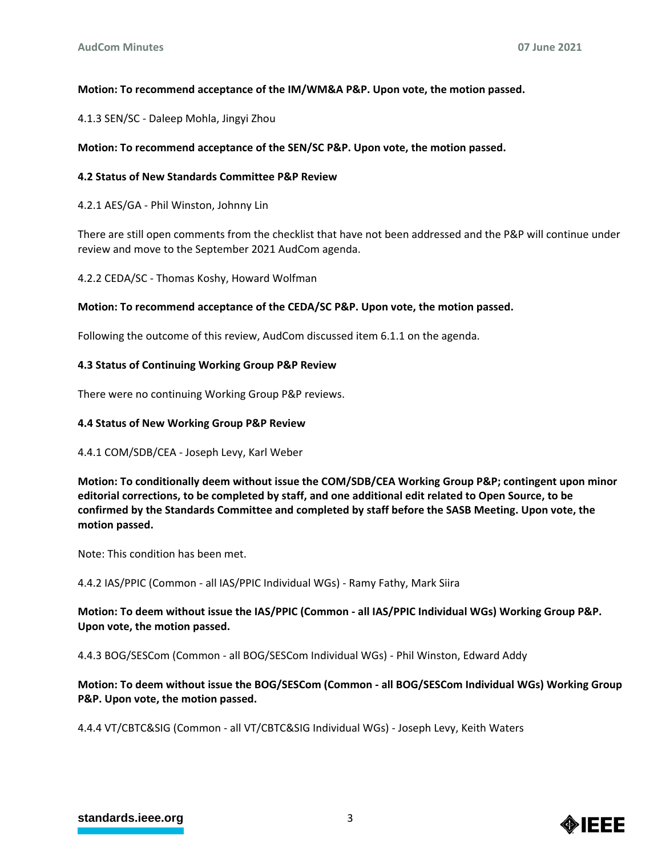# **Motion: To recommend acceptance of the IM/WM&A P&P. Upon vote, the motion passed.**

4.1.3 SEN/SC - Daleep Mohla, Jingyi Zhou

## **Motion: To recommend acceptance of the SEN/SC P&P. Upon vote, the motion passed.**

## **4.2 Status of New Standards Committee P&P Review**

4.2.1 AES/GA - Phil Winston, Johnny Lin

There are still open comments from the checklist that have not been addressed and the P&P will continue under review and move to the September 2021 AudCom agenda.

4.2.2 CEDA/SC - Thomas Koshy, Howard Wolfman

#### **Motion: To recommend acceptance of the CEDA/SC P&P. Upon vote, the motion passed.**

Following the outcome of this review, AudCom discussed item 6.1.1 on the agenda.

## **4.3 Status of Continuing Working Group P&P Review**

There were no continuing Working Group P&P reviews.

#### **4.4 Status of New Working Group P&P Review**

## 4.4.1 COM/SDB/CEA - Joseph Levy, Karl Weber

**Motion: To conditionally deem without issue the COM/SDB/CEA Working Group P&P; contingent upon minor editorial corrections, to be completed by staff, and one additional edit related to Open Source, to be confirmed by the Standards Committee and completed by staff before the SASB Meeting. Upon vote, the motion passed.**

Note: This condition has been met.

4.4.2 IAS/PPIC (Common - all IAS/PPIC Individual WGs) - Ramy Fathy, Mark Siira

**Motion: To deem without issue the IAS/PPIC (Common - all IAS/PPIC Individual WGs) Working Group P&P. Upon vote, the motion passed.**

4.4.3 BOG/SESCom (Common - all BOG/SESCom Individual WGs) - Phil Winston, Edward Addy

# **Motion: To deem without issue the BOG/SESCom (Common - all BOG/SESCom Individual WGs) Working Group P&P. Upon vote, the motion passed.**

4.4.4 VT/CBTC&SIG (Common - all VT/CBTC&SIG Individual WGs) - Joseph Levy, Keith Waters

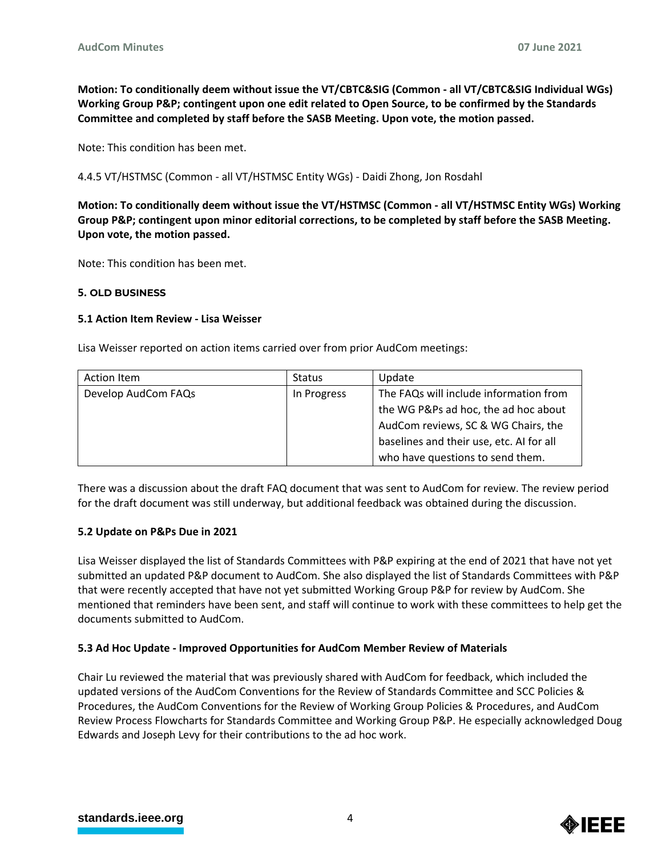**Motion: To conditionally deem without issue the VT/CBTC&SIG (Common - all VT/CBTC&SIG Individual WGs) Working Group P&P; contingent upon one edit related to Open Source, to be confirmed by the Standards Committee and completed by staff before the SASB Meeting. Upon vote, the motion passed.**

Note: This condition has been met.

4.4.5 VT/HSTMSC (Common - all VT/HSTMSC Entity WGs) - Daidi Zhong, Jon Rosdahl

**Motion: To conditionally deem without issue the VT/HSTMSC (Common - all VT/HSTMSC Entity WGs) Working Group P&P; contingent upon minor editorial corrections, to be completed by staff before the SASB Meeting. Upon vote, the motion passed.**

Note: This condition has been met.

## **5. OLD BUSINESS**

## **5.1 Action Item Review - Lisa Weisser**

Lisa Weisser reported on action items carried over from prior AudCom meetings:

| Action Item         | <b>Status</b> | Update                                   |
|---------------------|---------------|------------------------------------------|
| Develop AudCom FAQs | In Progress   | The FAQs will include information from   |
|                     |               | the WG P&Ps ad hoc, the ad hoc about     |
|                     |               | AudCom reviews, SC & WG Chairs, the      |
|                     |               | baselines and their use, etc. AI for all |
|                     |               | who have questions to send them.         |

There was a discussion about the draft FAQ document that was sent to AudCom for review. The review period for the draft document was still underway, but additional feedback was obtained during the discussion.

# **5.2 Update on P&Ps Due in 2021**

Lisa Weisser displayed the list of Standards Committees with P&P expiring at the end of 2021 that have not yet submitted an updated P&P document to AudCom. She also displayed the list of Standards Committees with P&P that were recently accepted that have not yet submitted Working Group P&P for review by AudCom. She mentioned that reminders have been sent, and staff will continue to work with these committees to help get the documents submitted to AudCom.

# **5.3 Ad Hoc Update - Improved Opportunities for AudCom Member Review of Materials**

Chair Lu reviewed the material that was previously shared with AudCom for feedback, which included the updated versions of the AudCom Conventions for the Review of Standards Committee and SCC Policies & Procedures, the AudCom Conventions for the Review of Working Group Policies & Procedures, and AudCom Review Process Flowcharts for Standards Committee and Working Group P&P. He especially acknowledged Doug Edwards and Joseph Levy for their contributions to the ad hoc work.

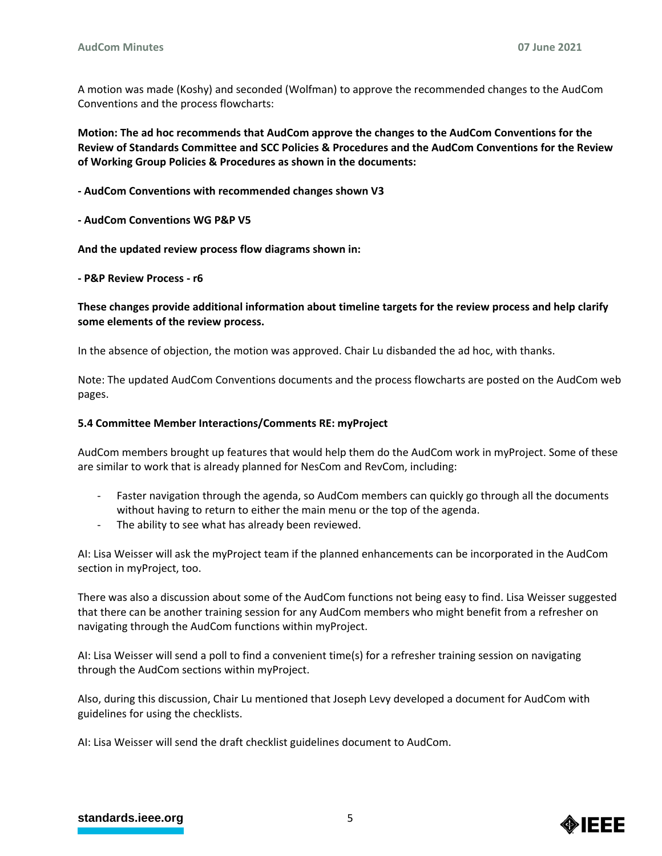A motion was made (Koshy) and seconded (Wolfman) to approve the recommended changes to the AudCom Conventions and the process flowcharts:

**Motion: The ad hoc recommends that AudCom approve the changes to the AudCom Conventions for the Review of Standards Committee and SCC Policies & Procedures and the AudCom Conventions for the Review of Working Group Policies & Procedures as shown in the documents:**

**- AudCom Conventions with recommended changes shown V3**

**- AudCom Conventions WG P&P V5**

**And the updated review process flow diagrams shown in:**

**- P&P Review Process - r6**

**These changes provide additional information about timeline targets for the review process and help clarify some elements of the review process.**

In the absence of objection, the motion was approved. Chair Lu disbanded the ad hoc, with thanks.

Note: The updated AudCom Conventions documents and the process flowcharts are posted on the AudCom web pages.

## **5.4 Committee Member Interactions/Comments RE: myProject**

AudCom members brought up features that would help them do the AudCom work in myProject. Some of these are similar to work that is already planned for NesCom and RevCom, including:

- Faster navigation through the agenda, so AudCom members can quickly go through all the documents without having to return to either the main menu or the top of the agenda.
- The ability to see what has already been reviewed.

AI: Lisa Weisser will ask the myProject team if the planned enhancements can be incorporated in the AudCom section in myProject, too.

There was also a discussion about some of the AudCom functions not being easy to find. Lisa Weisser suggested that there can be another training session for any AudCom members who might benefit from a refresher on navigating through the AudCom functions within myProject.

AI: Lisa Weisser will send a poll to find a convenient time(s) for a refresher training session on navigating through the AudCom sections within myProject.

Also, during this discussion, Chair Lu mentioned that Joseph Levy developed a document for AudCom with guidelines for using the checklists.

AI: Lisa Weisser will send the draft checklist guidelines document to AudCom.